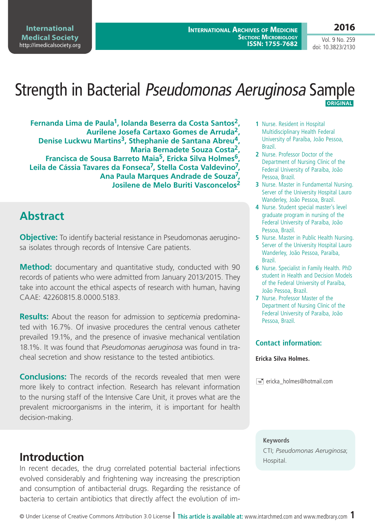**International Medical Society**  <http://imedicalsociety.org>

**2016** Vol. 9 No. 259

doi: 10.3823/2130

# Strength in Bacterial Pseudomonas Aeruginosa Sample  **ORIGINAL**

**Fernanda Lima de Paula1, Iolanda Beserra da Costa Santos2, Aurilene Josefa Cartaxo Gomes de Arruda2,**  Denise Luckwu Martins<sup>3</sup>, Sthephanie de Santana Abreu<sup>4</sup>, **Maria Bernadete Souza Costa2, Francisca de Sousa Barreto Maia5, Ericka Silva Holmes6, Leila de Cássia Tavares da Fonseca7, Stella Costa Valdevino7, Ana Paula Marques Andrade de Souza7, Josilene de Melo Buriti Vasconcelos<sup>2</sup>**

### **Abstract**

**Objective:** To identify bacterial resistance in Pseudomonas aeruginosa isolates through records of Intensive Care patients.

**Method:** documentary and quantitative study, conducted with 90 records of patients who were admitted from January 2013/2015. They take into account the ethical aspects of research with human, having CAAE: 42260815.8.0000.5183.

**Results:** About the reason for admission to *septicemia* predominated with 16.7%. Of invasive procedures the central venous catheter prevailed 19.1%, and the presence of invasive mechanical ventilation 18.1%. It was found that *Pseudomonas aeruginosa* was found in tracheal secretion and show resistance to the tested antibiotics.

**Conclusions:** The records of the records revealed that men were more likely to contract infection. Research has relevant information to the nursing staff of the Intensive Care Unit, it proves what are the prevalent microorganisms in the interim, it is important for health decision-making.

## **Introduction**

In recent decades, the drug correlated potential bacterial infections evolved considerably and frightening way increasing the prescription and consumption of antibacterial drugs. Regarding the resistance of bacteria to certain antibiotics that directly affect the evolution of im-

- **1** Nurse. Resident in Hospital Multidisciplinary Health Federal University of Paraíba, João Pessoa, Brazil.
- **2** Nurse. Professor Doctor of the Department of Nursing Clinic of the Federal University of Paraíba, João Pessoa, Brazil.
- **3** Nurse. Master in Fundamental Nursing. Server of the University Hospital Lauro Wanderley, João Pessoa, Brazil.
- **4** Nurse. Student special master's level graduate program in nursing of the Federal University of Paraíba, João Pessoa, Brazil.
- **5** Nurse. Master in Public Health Nursing. Server of the University Hospital Lauro Wanderley, João Pessoa, Paraíba, Brazil.
- **6** Nurse. Specialist in Family Health. PhD student in Health and Decision Models of the Federal University of Paraíba, João Pessoa, Brazil.
- **7** Nurse. Professor Master of the Department of Nursing Clinic of the Federal University of Paraíba, João Pessoa, Brazil.

#### **Contact information:**

#### **Ericka Silva Holmes.**

 $\equiv$  ericka\_holmes@hotmail.com

#### **Keywords**

CTI; *Pseudomonas Aeruginosa*;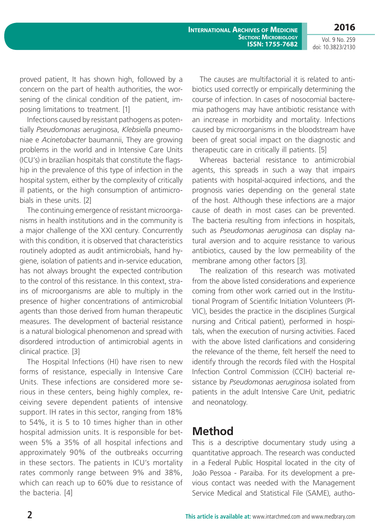**International Archives of Medicine Section: Microbiology ISSN: 1755-7682**

Vol. 9 No. 259 doi: 10.3823/2130

**2016**

proved patient, It has shown high, followed by a concern on the part of health authorities, the worsening of the clinical condition of the patient, imposing limitations to treatment. [1]

Infections caused by resistant pathogens as potentially *Pseudomonas* aeruginosa, *Klebsiella* pneumoniae e *Acinetobacter* baumannii, They are growing problems in the world and in Intensive Care Units (ICU's) in brazilian hospitals that constitute the flagship in the prevalence of this type of infection in the hospital system, either by the complexity of critically ill patients, or the high consumption of antimicrobials in these units. [2]

The continuing emergence of resistant microorganisms in health institutions and in the community is a major challenge of the XXI century. Concurrently with this condition, it is observed that characteristics routinely adopted as audit antimicrobials, hand hygiene, isolation of patients and in-service education, has not always brought the expected contribution to the control of this resistance. In this context, strains of microorganisms are able to multiply in the presence of higher concentrations of antimicrobial agents than those derived from human therapeutic measures. The development of bacterial resistance is a natural biological phenomenon and spread with disordered introduction of antimicrobial agents in clinical practice. [3]

The Hospital Infections (HI) have risen to new forms of resistance, especially in Intensive Care Units. These infections are considered more serious in these centers, being highly complex, receiving severe dependent patients of intensive support. IH rates in this sector, ranging from 18% to 54%, it is 5 to 10 times higher than in other hospital admission units. It is responsible for between 5% a 35% of all hospital infections and approximately 90% of the outbreaks occurring in these sectors. The patients in ICU's mortality rates commonly range between 9% and 38%, which can reach up to 60% due to resistance of the bacteria. [4]

The causes are multifactorial it is related to antibiotics used correctly or empirically determining the course of infection. In cases of nosocomial bacteremia pathogens may have antibiotic resistance with an increase in morbidity and mortality. Infections caused by microorganisms in the bloodstream have been of great social impact on the diagnostic and therapeutic care in critically ill patients. [5]

Whereas bacterial resistance to antimicrobial agents, this spreads in such a way that impairs patients with hospital-acquired infections, and the prognosis varies depending on the general state of the host. Although these infections are a major cause of death in most cases can be prevented. The bacteria resulting from infections in hospitals, such as *Pseudomonas aeruginosa* can display natural aversion and to acquire resistance to various antibiotics, caused by the low permeability of the membrane among other factors [3].

The realization of this research was motivated from the above listed considerations and experience coming from other work carried out in the Institutional Program of Scientific Initiation Volunteers (PI-VIC), besides the practice in the disciplines (Surgical nursing and Critical patient), performed in hospitals, when the execution of nursing activities. Faced with the above listed clarifications and considering the relevance of the theme, felt herself the need to identify through the records filed with the Hospital Infection Control Commission (CCIH) bacterial resistance by *Pseudomonas aeruginosa* isolated from patients in the adult Intensive Care Unit, pediatric and neonatology.

### **Method**

This is a descriptive documentary study using a quantitative approach. The research was conducted in a Federal Public Hospital located in the city of João Pessoa - Paraiba. For its development a previous contact was needed with the Management Service Medical and Statistical File (SAME), autho-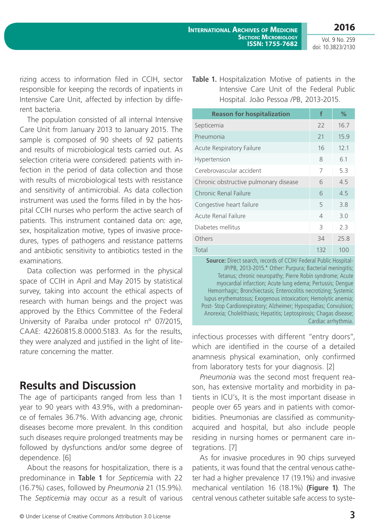**2016**

Vol. 9 No. 259 doi: 10.3823/2130

rizing access to information filed in CCIH, sector responsible for keeping the records of inpatients in Intensive Care Unit, affected by infection by different bacteria.

The population consisted of all internal Intensive Care Unit from January 2013 to January 2015. The sample is composed of 90 sheets of 92 patients and results of microbiological tests carried out. As selection criteria were considered: patients with infection in the period of data collection and those with results of microbiological tests with resistance and sensitivity of antimicrobial. As data collection instrument was used the forms filled in by the hospital CCIH nurses who perform the active search of patients. This instrument contained data on: age, sex, hospitalization motive, types of invasive procedures, types of pathogens and resistance patterns and antibiotic sensitivity to antibiotics tested in the examinations.

Data collection was performed in the physical space of CCIH in April and May 2015 by statistical survey, taking into account the ethical aspects of research with human beings and the project was approved by the Ethics Committee of the Federal University of Paraíba under protocol n° 07/2015, CAAE: 42260815.8.0000.5183. As for the results, they were analyzed and justified in the light of literature concerning the matter.

## **Results and Discussion**

The age of participants ranged from less than 1 year to 90 years with 43.9%, with a predominance of females 36.7%. With advancing age, chronic diseases become more prevalent. In this condition such diseases require prolonged treatments may be followed by dysfunctions and/or some degree of dependence. [6]

About the reasons for hospitalization, there is a predominance in **Table 1** for *Septicemia* with 22 (16.7%) cases, followed by *Pneumonia* 21 (15.9%). The *Septicemia* may occur as a result of various **Table 1.** Hospitalization Motive of patients in the Intensive Care Unit of the Federal Public Hospital. João Pessoa /PB, 2013-2015.

| <b>Reason for hospitalization</b>     | f              | %    |  |  |
|---------------------------------------|----------------|------|--|--|
| Septicemia                            | 22             | 16.7 |  |  |
| Pneumonia                             | 21             | 15.9 |  |  |
| <b>Acute Respiratory Failure</b>      | 16             | 12.1 |  |  |
| Hypertension                          | 8              | 6.1  |  |  |
| Cerebrovascular accident              | 7              | 53   |  |  |
| Chronic obstructive pulmonary disease | 6              | 4.5  |  |  |
| Chronic Renal Failure                 | 6              | 4.5  |  |  |
| Congestive heart failure              | 5              | 3.8  |  |  |
| Acute Renal Failure                   | $\overline{4}$ | 3.0  |  |  |
| Diabetes mellitus                     | 3              | 2.3  |  |  |
| Others                                | 34             | 25.8 |  |  |
| Total                                 | 132            | 100  |  |  |

**Source:** Direct search, records of CCIH/ Federal Public Hospital-JP/PB, 2013-2015.\* Other: Purpura; Bacterial meningitis; Tetanus; chronic neuropathy; Pierre Robin syndrome; Acute myocardial infarction; Acute lung edema; Pertussis; Dengue Hemorrhagic; Bronchiectasis; Enterocolitis necrotizing; Systemic lupus erythematosus; Exogenous intoxication; Hemolytic anemia; Post- Stop Cardiorespiratory; Alzheimer; Hypospadias; Convulsion; Anorexia; Cholelithiasis; Hepatitis; Leptospirosis; Chagas disease; Cardiac arrhythmia.

infectious processes with different "entry doors", which are identified in the course of a detailed anamnesis physical examination, only confirmed from laboratory tests for your diagnosis. [2]

*Pneumonia* was the second most frequent reason, has extensive mortality and morbidity in patients in ICU's, It is the most important disease in people over 65 years and in patients with comorbidities. Pneumonias are classified as communityacquired and hospital, but also include people residing in nursing homes or permanent care integrations. [7]

As for invasive procedures in 90 chips surveyed patients, it was found that the central venous catheter had a higher prevalence 17 (19.1%) and invasive mechanical ventilation 16 (18.1%) **(Figure 1)**. The central venous catheter suitable safe access to syste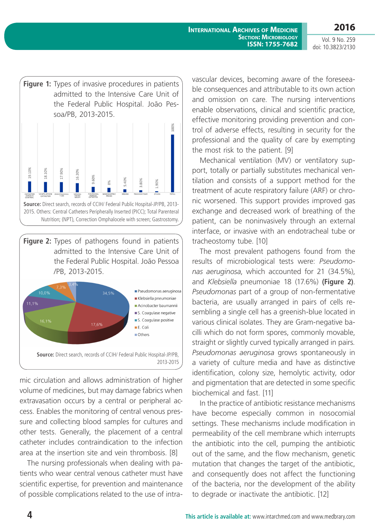**International Archives of Medicine Section: Microbiology ISSN: 1755-7682**

**2016** Vol. 9 No. 259

doi: 10.3823/2130



**Figure 2:** Types of pathogens found in patients admitted to the Intensive Care Unit of the Federal Public Hospital. João Pessoa /PB, 2013-2015.



mic circulation and allows administration of higher volume of medicines, but may damage fabrics when extravasation occurs by a central or peripheral access. Enables the monitoring of central venous pressure and collecting blood samples for cultures and other tests. Generally, the placement of a central catheter includes contraindication to the infection area at the insertion site and vein thrombosis. [8]

The nursing professionals when dealing with patients who wear central venous catheter must have scientific expertise, for prevention and maintenance of possible complications related to the use of intravascular devices, becoming aware of the foreseeable consequences and attributable to its own action and omission on care. The nursing interventions enable observations, clinical and scientific practice, effective monitoring providing prevention and control of adverse effects, resulting in security for the professional and the quality of care by exempting the most risk to the patient. [9]

Mechanical ventilation (MV) or ventilatory support, totally or partially substitutes mechanical ventilation and consists of a support method for the treatment of acute respiratory failure (ARF) or chronic worsened. This support provides improved gas exchange and decreased work of breathing of the patient, can be noninvasively through an external interface, or invasive with an endotracheal tube or tracheostomy tube. [10]

The most prevalent pathogens found from the results of microbiological tests were: *Pseudomonas aeruginosa*, which accounted for 21 (34.5%), and *Klebsiella* pneumoniae 18 (17.6%) **(Figure 2)**. *Pseudomonas* part of a group of non-fermentative bacteria, are usually arranged in pairs of cells resembling a single cell has a greenish-blue located in various clinical isolates. They are Gram-negative bacilli which do not form spores, commonly movable, straight or slightly curved typically arranged in pairs*. Pseudomonas aeruginosa* grows spontaneously in a variety of culture media and have as distinctive identification, colony size, hemolytic activity, odor and pigmentation that are detected in some specific biochemical and fast. [11]

In the practice of antibiotic resistance mechanisms have become especially common in nosocomial settings. These mechanisms include modification in permeability of the cell membrane which interrupts the antibiotic into the cell, pumping the antibiotic out of the same, and the flow mechanism, genetic mutation that changes the target of the antibiotic, and consequently does not affect the functioning of the bacteria, nor the development of the ability to degrade or inactivate the antibiotic. [12]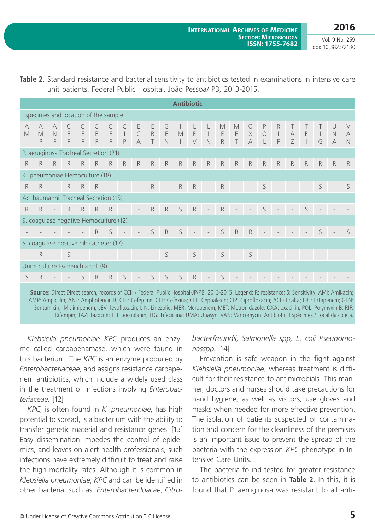**2016**

Vol. 9 No. 259 doi: 10.3823/2130

| <b>Antibiotic</b>                     |                                         |                               |            |        |                            |                          |                                                             |                                   |                            |                                 |                       |             |                          |                       |                             |                                     |                              |                             |                |                   |                   |                     |                                    |
|---------------------------------------|-----------------------------------------|-------------------------------|------------|--------|----------------------------|--------------------------|-------------------------------------------------------------|-----------------------------------|----------------------------|---------------------------------|-----------------------|-------------|--------------------------|-----------------------|-----------------------------|-------------------------------------|------------------------------|-----------------------------|----------------|-------------------|-------------------|---------------------|------------------------------------|
| Espécimes and location of the sample  |                                         |                               |            |        |                            |                          |                                                             |                                   |                            |                                 |                       |             |                          |                       |                             |                                     |                              |                             |                |                   |                   |                     |                                    |
| A<br>M                                | $\forall$<br>M<br>P                     | $\forall$<br>$\mathbb N$<br>F | E<br>F     | E<br>F | $\mathsf E$<br>$\mathsf F$ | $\mathsf E$<br>F         | C<br>$\mathbb{R}$<br>P                                      | E<br>$\subset$<br>$\forall$       | $\mathsf E$<br>R<br>$\top$ | G<br>$\mathsf E$<br>$\mathbb N$ | $\mathbb M$<br>$\Box$ | E<br>$\vee$ | $\Box$<br>N              | M<br>$\mathsf E$<br>R | M<br>E<br>T                 | $\bigcirc$<br>$\times$<br>$\forall$ | P<br>$\circ$<br>$\mathsf{L}$ | R<br>$\perp$<br>$\mathsf F$ | $\forall$<br>Z | E<br>$\mathbf{L}$ | $\mathbf{L}$<br>G | U<br>N<br>$\forall$ | $\vee$<br>$\forall$<br>$\mathbb N$ |
| P. aeruginosa Tracheal Secretion (21) |                                         |                               |            |        |                            |                          |                                                             |                                   |                            |                                 |                       |             |                          |                       |                             |                                     |                              |                             |                |                   |                   |                     |                                    |
| R                                     | R                                       | R                             |            |        | R R R R                    |                          | R                                                           | R                                 | R                          | R                               | R                     |             | $R$ $R$                  | R                     | R                           | R                                   | $R$ $R$                      |                             | R              | R                 | R                 | R                   | R                                  |
|                                       | K. pneumoniae Hemoculture (18)          |                               |            |        |                            |                          |                                                             |                                   |                            |                                 |                       |             |                          |                       |                             |                                     |                              |                             |                |                   |                   |                     |                                    |
| R                                     | R                                       |                               | $-R$       |        | R                          | $\overline{\phantom{a}}$ | $\mathcal{L}^{\mathcal{L}}$ and $\mathcal{L}^{\mathcal{L}}$ | $\overline{\phantom{a}}$          | R                          | $\overline{\phantom{a}}$        | R                     | $R -$       |                          | R                     | $\sim$                      | $\sim$                              | S                            |                             |                |                   | $\mathsf{S}$      |                     | $\varsigma$                        |
|                                       | Ac. baumannii Tracheal Secretion (15)   |                               |            |        |                            |                          |                                                             |                                   |                            |                                 |                       |             |                          |                       |                             |                                     |                              |                             |                |                   |                   |                     |                                    |
| R                                     | R                                       |                               | $-R$ R R R |        |                            | R                        |                                                             | $\overline{\phantom{a}}$          | R                          | R                               | S                     | $R -$       |                          | R                     | $\mathcal{L} = \mathcal{L}$ | $\sim 10^{-1}$                      | S                            | $\overline{\phantom{a}}$    | $\mathbb{R}^n$ | S                 | $\frac{1}{2}$     |                     |                                    |
|                                       | S. coagulase negative Hemoculture (12)  |                               |            |        |                            |                          |                                                             |                                   |                            |                                 |                       |             |                          |                       |                             |                                     |                              |                             |                |                   |                   |                     |                                    |
|                                       | $R$ $S$                                 |                               |            |        |                            |                          | $\mathcal{L} = \mathcal{L}$                                 | $\overline{\phantom{a}}$          |                            | $S$ R $S$                       |                       | $\sim$ $-$  | $\sim 10^{-1}$           | $S$ R                 |                             | R                                   | $\overline{\phantom{a}}$     |                             |                |                   | S                 |                     | $\varsigma$                        |
|                                       | S. coagulase positive nib catheter (17) |                               |            |        |                            |                          |                                                             |                                   |                            |                                 |                       |             |                          |                       |                             |                                     |                              |                             |                |                   |                   |                     |                                    |
| $\overline{\phantom{a}}$              | R                                       |                               | $-5$       |        |                            |                          |                                                             | and the state of the state of the |                            | S                               | $\sim$                | S           | $\sim$                   | $S -$                 |                             | S                                   | $\frac{1}{2}$                |                             |                |                   |                   |                     |                                    |
|                                       | Urine culture Escherichia coli (9)      |                               |            |        |                            |                          |                                                             |                                   |                            |                                 |                       |             |                          |                       |                             |                                     |                              |                             |                |                   |                   |                     |                                    |
| S.                                    | R                                       | $\overline{\phantom{a}}$      |            | S      | R                          | $\mathsf{R}$             | $\mathsf{S}$                                                | $\overline{\phantom{a}}$          |                            | $S$ $S$ $S$                     |                       | R           | $\overline{\phantom{a}}$ | S                     |                             |                                     |                              |                             |                |                   |                   |                     |                                    |
|                                       |                                         |                               |            |        |                            |                          |                                                             |                                   |                            |                                 |                       |             |                          |                       |                             |                                     |                              |                             |                |                   |                   |                     |                                    |

**Table 2.** Standard resistance and bacterial sensitivity to antibiotics tested in examinations in intensive care unit patients. Federal Public Hospital. João Pessoa/ PB, 2013-2015.

**Source:** Direct Direct search, records of CCIH/ Federal Public Hospital-JP/PB, 2013-2015. Legend: R: resistance; S: Sensitivity; AMI: Amikacin; AMP: Ampicillin; ANF: Amphotericin B; CEF: Cefepime; CEF: Cefexina; CEF: Cephalexin; CIP: Ciprofloxacin; ACE- Ecalta; ERT: Ertapenem; GEN: Gentamicin; IMI: imipenem; LEV- levofloxacin; LIN: Linezolid; MER: Meropenem; MET: Metronidazole; OXA: oxacillin; POL: Polymyxin B; RIF: Rifampin; TAZ: Tazocim; TEI: teicoplanin; TIG: Tifeciclina; UMA: Unasyn; VAN: Vancomycin. Antibiotic. Espécimes / Local da coleta.

*Klebsiella pneumoniae KPC* produces an enzyme called carbapenamase, which were found in this bacterium. The *KPC* is an enzyme produced by *Enterobacteriaceae*, and assigns resistance carbapenem antibiotics, which include a widely used class in the treatment of infections involving *Enterobacteriaceae.* [12]

*KPC*, is often found in *K. pneumoniae*, has high potential to spread, is a bacterium with the ability to transfer genetic material and resistance genes. [13] Easy dissemination impedes the control of epidemics, and leaves on alert health professionals, such infections have extremely difficult to treat and raise the high mortality rates. Although it is common in *Klebsiella pneumoniae*, *KPC* and can be identified in other bacteria, such as: *Enterobactercloacae*, *Citro-*

*bacterfreundii*, *Salmonella spp, E. coli Pseudomonasspp*. [14]

Prevention is safe weapon in the fight against *Klebsiella pneumoniae,* whereas treatment is difficult for their resistance to antimicrobials. This manner, doctors and nurses should take precautions for hand hygiene, as well as visitors, use gloves and masks when needed for more effective prevention. The isolation of patients suspected of contamination and concern for the cleanliness of the premises is an important issue to prevent the spread of the bacteria with the expression *KPC* phenotype in Intensive Care Units.

The bacteria found tested for greater resistance to antibiotics can be seen in **Table 2**. In this, it is found that P. aeruginosa was resistant to all anti-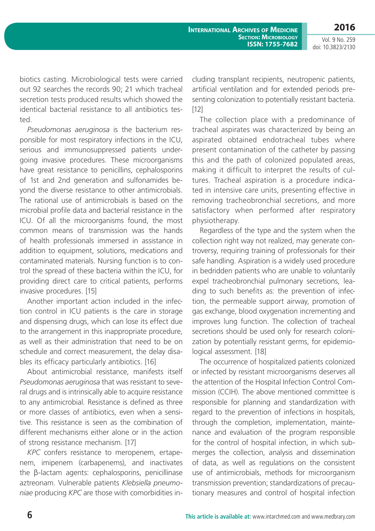**International Archives of Medicine Section: Microbiology ISSN: 1755-7682**

Vol. 9 No. 259 doi: 10.3823/2130

**2016**

biotics casting. Microbiological tests were carried out 92 searches the records 90; 21 which tracheal secretion tests produced results which showed the identical bacterial resistance to all antibiotics tested.

*Pseudomonas aeruginosa* is the bacterium responsible for most respiratory infections in the ICU, serious and immunosuppressed patients undergoing invasive procedures. These microorganisms have great resistance to penicillins, cephalosporins of 1st and 2nd generation and sulfonamides beyond the diverse resistance to other antimicrobials. The rational use of antimicrobials is based on the microbial profile data and bacterial resistance in the ICU. Of all the microorganisms found, the most common means of transmission was the hands of health professionals immersed in assistance in addition to equipment, solutions, medications and contaminated materials. Nursing function is to control the spread of these bacteria within the ICU, for providing direct care to critical patients, performs invasive procedures. [15]

Another important action included in the infection control in ICU patients is the care in storage and dispensing drugs, which can lose its effect due to the arrangement in this inappropriate procedure, as well as their administration that need to be on schedule and correct measurement, the delay disables its efficacy particularly antibiotics. [16]

About antimicrobial resistance, manifests itself *Pseudomonas aeruginosa* that was resistant to several drugs and is intrinsically able to acquire resistance to any antimicrobial. Resistance is defined as three or more classes of antibiotics, even when a sensitive. This resistance is seen as the combination of different mechanisms either alone or in the action of strong resistance mechanism. [17]

*KPC* confers resistance to meropenem, ertapenem, imipenem (carbapenems), and inactivates the β-lactam agents: cephalosporins, penicillinase aztreonam. Vulnerable patients *Klebsiella pneumoniae* producing *KPC* are those with comorbidities in-

cluding transplant recipients, neutropenic patients, artificial ventilation and for extended periods presenting colonization to potentially resistant bacteria. [12]

The collection place with a predominance of tracheal aspirates was characterized by being an aspirated obtained endotracheal tubes where present contamination of the catheter by passing this and the path of colonized populated areas, making it difficult to interpret the results of cultures. Tracheal aspiration is a procedure indicated in intensive care units, presenting effective in removing tracheobronchial secretions, and more satisfactory when performed after respiratory physiotherapy.

Regardless of the type and the system when the collection right way not realized, may generate controversy, requiring training of professionals for their safe handling. Aspiration is a widely used procedure in bedridden patients who are unable to voluntarily expel tracheobronchial pulmonary secretions, leading to such benefits as: the prevention of infection, the permeable support airway, promotion of gas exchange, blood oxygenation incrementing and improves lung function. The collection of tracheal secretions should be used only for research colonization by potentially resistant germs, for epidemiological assessment. [18]

The occurrence of hospitalized patients colonized or infected by resistant microorganisms deserves all the attention of the Hospital Infection Control Commission (CCIH). The above mentioned committee is responsible for planning and standardization with regard to the prevention of infections in hospitals, through the completion, implementation, maintenance and evaluation of the program responsible for the control of hospital infection, in which submerges the collection, analysis and dissemination of data, as well as regulations on the consistent use of antimicrobials, methods for microorganism transmission prevention; standardizations of precautionary measures and control of hospital infection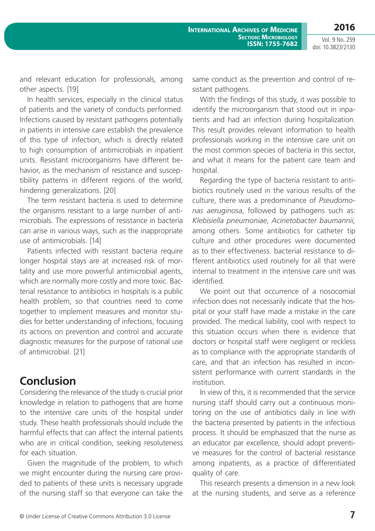**2016**

Vol. 9 No. 259 doi: 10.3823/2130

and relevant education for professionals, among other aspects. [19]

In health services, especially in the clinical status of patients and the variety of conducts performed. Infections caused by resistant pathogens potentially in patients in intensive care establish the prevalence of this type of infection, which is directly related to high consumption of antimicrobials in inpatient units. Resistant microorganisms have different behavior, as the mechanism of resistance and susceptibility patterns in different regions of the world, hindering generalizations. [20]

The term resistant bacteria is used to determine the organisms resistant to a large number of antimicrobials. The expressions of resistance in bacteria can arise in various ways, such as the inappropriate use of antimicrobials. [14]

Patients infected with resistant bacteria require longer hospital stays are at increased risk of mortality and use more powerful antimicrobial agents, which are normally more costly and more toxic. Bacterial resistance to antibiotics in hospitals is a public health problem, so that countries need to come together to implement measures and monitor studies for better understanding of infections, focusing its actions on prevention and control and accurate diagnostic measures for the purpose of rational use of antimicrobial. [21]

### **Conclusion**

Considering the relevance of the study is crucial prior knowledge in relation to pathogens that are home to the intensive care units of the hospital under study. These health professionals should include the harmful effects that can affect the internal patients who are in critical condition, seeking resoluteness for each situation.

Given the magnitude of the problem, to which we might encounter during the nursing care provided to patients of these units is necessary upgrade of the nursing staff so that everyone can take the same conduct as the prevention and control of resistant pathogens.

With the findings of this study, it was possible to identify the microorganism that stood out in inpatients and had an infection during hospitalization. This result provides relevant information to health professionals working in the intensive care unit on the most common species of bacteria in this sector, and what it means for the patient care team and hospital.

Regarding the type of bacteria resistant to antibiotics routinely used in the various results of the culture, there was a predominance of *Pseudomonas aeruginosa*, followed by pathogens such as: *Klebisiella pneumoniae*, *Acinetobacter baumannii,* among others. Some antibiotics for catheter tip culture and other procedures were documented as to their effectiveness. bacterial resistance to different antibiotics used routinely for all that were internal to treatment in the intensive care unit was identified.

We point out that occurrence of a nosocomial infection does not necessarily indicate that the hospital or your staff have made a mistake in the care provided. The medical liability, cool with respect to this situation occurs when there is evidence that doctors or hospital staff were negligent or reckless as to compliance with the appropriate standards of care, and that an infection has resulted in inconsistent performance with current standards in the institution.

In view of this, it is recommended that the service nursing staff should carry out a continuous monitoring on the use of antibiotics daily in line with the bacteria presented by patients in the infectious process. It should be emphasized that the nurse as an educator par excellence, should adopt preventive measures for the control of bacterial resistance among inpatients, as a practice of differentiated quality of care.

This research presents a dimension in a new look at the nursing students, and serve as a reference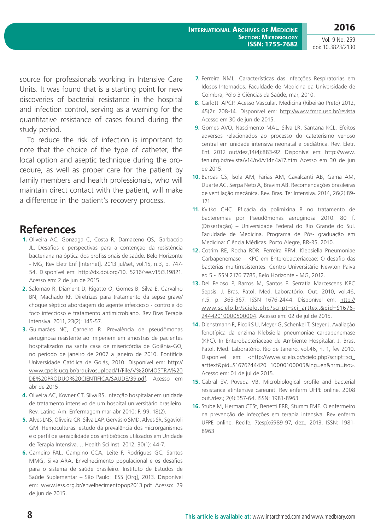Vol. 9 No. 259 doi: 10.3823/2130

source for professionals working in Intensive Care Units. It was found that is a starting point for new discoveries of bacterial resistance in the hospital and infection control, serving as a warning for the quantitative resistance of cases found during the study period.

To reduce the risk of infection is important to note that the choice of the type of catheter, the local option and aseptic technique during the procedure, as well as proper care for the patient by family members and health professionals, who will maintain direct contact with the patient, will make a difference in the patient's recovery process.

## **References**

- **1.** Oliveira AC, Gonzaga C, Costa R, Damaceno QS, Garbaccio JL. Desafios e perspectivas para a contenção da resistência bacteriana na óptica dos profissionais de saúde. Belo Horizonte - MG, Rev Eletr Enf [Internet]. 2013 jul/set, vol.15, n.3, p. 747- 54. Disponível em: [http://dx.doi.org/10. 5216/ree.v15i3.19821.](http://dx.doi.org/10. 5216/ree.v15i3.19821) Acesso em: 2 de jun de 2015.
- **2.** Salomão R, Diament D, Rigatto O, Gomes B, Silva E, Carvalho BN, Machado RF. Diretrizes para tratamento da sepse grave/ choque séptico abordagem do agente infeccioso - controle do foco infeccioso e tratamento antimicrobiano. Rev Bras Terapia Intensiva. 2011, 23(2): 145-57.
- **3.** Guimarães NC, Carneiro R. Prevalência de pseudômonas aeruginosa resistente ao imipenem em amostras de pacientes hospitalizados na santa casa de misericórdia de Goiânia-GO, no período de janeiro de 2007 a janeiro de 2010. Pontifícia Universidade Católica de Goiás, 2010. Disponível em: [http://](http://www.cpgls.ucg.br/arquivosupload/1/File/V%20MOSTRA%20DE%20PRODUO%20CIENTIFICA/SAUDE/39.pdf) [www.cpgls.ucg.br/arquivosupload/1/File/V%20MOSTRA%20](http://www.cpgls.ucg.br/arquivosupload/1/File/V%20MOSTRA%20DE%20PRODUO%20CIENTIFICA/SAUDE/39.pdf) [DE%20PRODUO%20CIENTIFICA/SAUDE/39.pdf.](http://www.cpgls.ucg.br/arquivosupload/1/File/V%20MOSTRA%20DE%20PRODUO%20CIENTIFICA/SAUDE/39.pdf) Acesso em abr de 2015.
- **4.** Oliveira AC, Kovner CT, Silva RS. Infecção hospitalar em unidade de tratamento intensivo de um hospital universitário brasileiro. Rev. Latino-Am. Enfermagem mar-abr 2010; P. 99, 18(2).
- **5.** Alves LNS, Oliveira CR, Silva LAP, Gervásio SMD, Alves SR, Sgavioli GM. Hemoculturas: estudo da prevalência dos microrganismos e o perfil de sensibilidade dos antibióticos utilizados em Unidade de Terapia Intensiva. J. Health Sci Inst. 2012, 30(1): 44-7.
- **6.** Carneiro FAL, Campino CCA, Leite F, Rodrigues GC, Santos MMG, Silva ARA. Envelhecimento populacional e os desafios para o sistema de saúde brasileiro. Instituto de Estudos de Saúde Suplementar – São Paulo: IESS [Org], 2013. Disponível em: <www.iess.org.br/envelhecimentopop2013.pdf> Acesso: 29 de jun de 2015.
- **7.** Ferreira NML. Características das Infecções Respiratórias em Idosos Internados. Faculdade de Medicina da Universidade de Coimbra, Pólo 3 Ciências da Saúde, mar, 2010.
- **8.** Carlotti APCP. Acesso Vascular. Medicina (Ribeirão Preto) 2012, 45(2): 208-14. Disponível em: <http://www.fmrp.usp.br/revista> Acesso em 30 de jun de 2015.
- **9.** Gomes AVO, Nascimento MAL, Silva LR, Santana KCL. Efeitos adversos relacionados ao processo do cateterismo venoso central em unidade intensiva neonatal e pediátrica. Rev. Eletr. Enf. 2012 out/dez,14(4):883-92. Disponível em: [http://www.](http://www.fen.ufg.br/revista/v14/n4/v14n4a17.htm) [fen.ufg.br/revista/v14/n4/v14n4a17.htm](http://www.fen.ufg.br/revista/v14/n4/v14n4a17.htm) Acesso em 30 de jun de 2015.
- **10.** Barbas CS, Ísola AM, Farias AM, Cavalcanti AB, Gama AM, Duarte AC, Serpa Neto A, Bravim AB. Recomendações brasileiras de ventilação mecânica. Rev. Bras. Ter Intensiva. 2014, 26(2):89- 121
- **11.** Kvitko CHC. Eficácia da polimixina B no tratamento de bacteremias por Pseudômonas aeruginosa 2010. 80 f. (Dissertação) – Universidade Federal do Rio Grande do Sul. Faculdade de Medicina. Programa de Pós- graduação em Medicina: Ciência Médicas. Porto Alegre, BR-RS, 2010.
- **12.** Cotrim RE, Rocha RDR, Ferreira RFM. Klebsiella Pneumoniae Carbapenemase – KPC em Enterobacteriaceae: O desafio das bactérias multirresistentes. Centro Universitário Newton Paiva ed 5 - ISSN 2176 7785, Belo Horizonte - MG, 2012.
- **13.** Del Peloso P, Barros M, Santos F. Serratia Marcescens KPC Sepsis. J. Bras. Patol. Med. Laboratório. Out. 2010, vol.46, n.5, p. 365-367. ISSN 1676-2444. Disponível em: [http://](http://www.scielo.br/scielo.php?script=sci_arttext&pid=S1676- 24442010000500004) [www.scielo.br/scielo.php?script=sci\\_arttext&pid=S1676-](http://www.scielo.br/scielo.php?script=sci_arttext&pid=S1676- 24442010000500004) [24442010000500004.](http://www.scielo.br/scielo.php?script=sci_arttext&pid=S1676- 24442010000500004) Acesso em: 02 de jul de 2015.
- **14.** Dienstmann R, Picoli S U, Meyer G, Schenkel T, Steyer J. Avaliação fenotípica da enzima Klebsiella pneumoniae carbapenemase (KPC). In Enterobacteriaceae de Ambiente Hospitalar. J. Bras. Patol. Med. Laboratório. Rio de Janeiro, vol.46, n. 1, fev 2010. Disponível em: [<http://www.scielo.br/scielo.php?script=sci\\_](http://www.scielo.br/scielo.php?script=sci_arttext&pid=S1676244420 10000100005&lng=en&nrm=iso) [arttext&pid=S1676244420 10000100005&lng=en&nrm=iso](http://www.scielo.br/scielo.php?script=sci_arttext&pid=S1676244420 10000100005&lng=en&nrm=iso)>. Acesso em: 01 de jul de 2015.
- **15.** Cabral EV, Poveda VB. Microbiological profile and bacterial resistance atintensive careunit. Rev enferm UFPE online. 2008 out./dez.; 2(4):357-64. ISSN: 1981-8963
- **16.** Stube M, Herman CTSt, Benetti ERR, Stumm FME. O enfermeiro na prevenção de infecções em terapia intensiva. Rev enferm UFPE online, Recife, 7(esp):6989-97, dez., 2013. ISSN: 1981- 8963